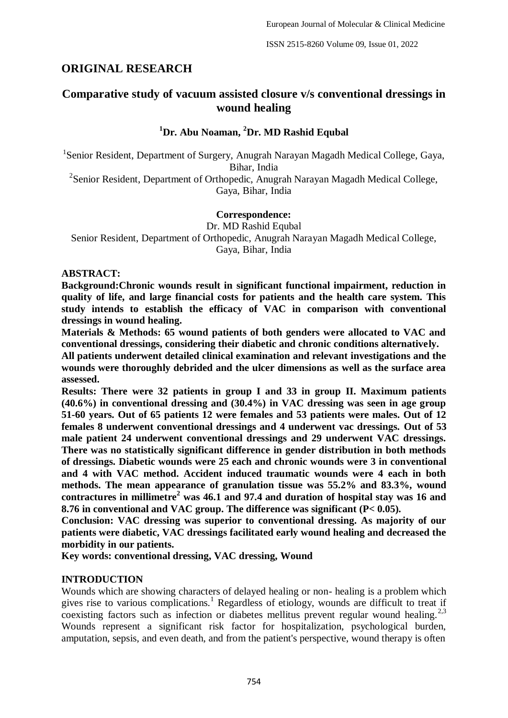# **ORIGINAL RESEARCH**

# **Comparative study of vacuum assisted closure v/s conventional dressings in wound healing**

# **<sup>1</sup>Dr. Abu Noaman, <sup>2</sup>Dr. MD Rashid Equbal**

<sup>1</sup>Senior Resident, Department of Surgery, Anugrah Narayan Magadh Medical College, Gaya, Bihar, India <sup>2</sup>Senior Resident, Department of Orthopedic, Anugrah Narayan Magadh Medical College,

Gaya, Bihar, India

## **Correspondence:**

Dr. MD Rashid Equbal Senior Resident, Department of Orthopedic, Anugrah Narayan Magadh Medical College, Gaya, Bihar, India

#### **ABSTRACT:**

**Background:Chronic wounds result in significant functional impairment, reduction in quality of life, and large financial costs for patients and the health care system. This study intends to establish the efficacy of VAC in comparison with conventional dressings in wound healing.**

**Materials & Methods: 65 wound patients of both genders were allocated to VAC and conventional dressings, considering their diabetic and chronic conditions alternatively.** 

**All patients underwent detailed clinical examination and relevant investigations and the wounds were thoroughly debrided and the ulcer dimensions as well as the surface area assessed.** 

**Results: There were 32 patients in group I and 33 in group II. Maximum patients (40.6%) in conventional dressing and (30.4%) in VAC dressing was seen in age group 51-60 years. Out of 65 patients 12 were females and 53 patients were males. Out of 12 females 8 underwent conventional dressings and 4 underwent vac dressings. Out of 53 male patient 24 underwent conventional dressings and 29 underwent VAC dressings. There was no statistically significant difference in gender distribution in both methods of dressings. Diabetic wounds were 25 each and chronic wounds were 3 in conventional and 4 with VAC method. Accident induced traumatic wounds were 4 each in both methods. The mean appearance of granulation tissue was 55.2% and 83.3%, wound contractures in millimetre<sup>2</sup> was 46.1 and 97.4 and duration of hospital stay was 16 and 8.76 in conventional and VAC group. The difference was significant (P< 0.05).**

**Conclusion: VAC dressing was superior to conventional dressing. As majority of our patients were diabetic, VAC dressings facilitated early wound healing and decreased the morbidity in our patients.**

**Key words: conventional dressing, VAC dressing, Wound**

## **INTRODUCTION**

Wounds which are showing characters of delayed healing or non- healing is a problem which gives rise to various complications.<sup>1</sup> Regardless of etiology, wounds are difficult to treat if coexisting factors such as infection or diabetes mellitus prevent regular wound healing.<sup>2,3</sup> Wounds represent a significant risk factor for hospitalization, psychological burden, amputation, sepsis, and even death, and from the patient's perspective, wound therapy is often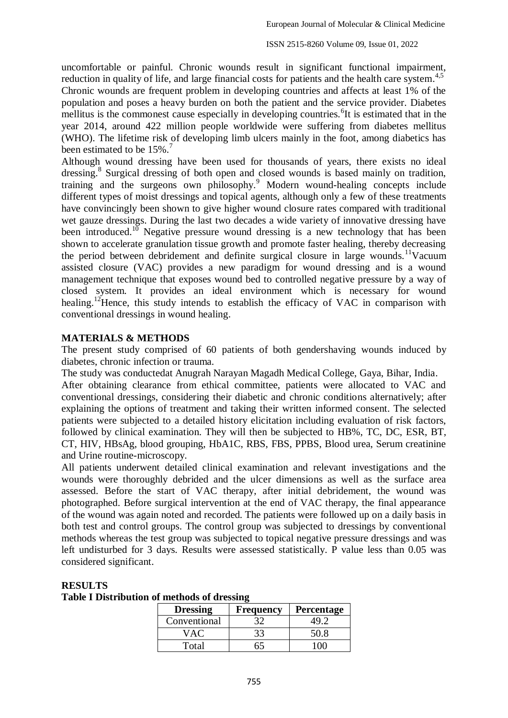ISSN 2515-8260 Volume 09, Issue 01, 2022

uncomfortable or painful. Chronic wounds result in significant functional impairment, reduction in quality of life, and large financial costs for patients and the health care system.<sup>4,5</sup> Chronic wounds are frequent problem in developing countries and affects at least 1% of the population and poses a heavy burden on both the patient and the service provider. Diabetes mellitus is the commonest cause especially in developing countries. <sup>6</sup>It is estimated that in the year 2014, around 422 million people worldwide were suffering from diabetes mellitus (WHO). The lifetime risk of developing limb ulcers mainly in the foot, among diabetics has been estimated to be  $15\%$ .<sup>7</sup>

Although wound dressing have been used for thousands of years, there exists no ideal dressing.<sup>8</sup> Surgical dressing of both open and closed wounds is based mainly on tradition, training and the surgeons own philosophy.<sup>9</sup> Modern wound-healing concepts include different types of moist dressings and topical agents, although only a few of these treatments have convincingly been shown to give higher wound closure rates compared with traditional wet gauze dressings. During the last two decades a wide variety of innovative dressing have been introduced.<sup>10</sup> Negative pressure wound dressing is a new technology that has been shown to accelerate granulation tissue growth and promote faster healing, thereby decreasing the period between debridement and definite surgical closure in large wounds.<sup>11</sup>Vacuum assisted closure (VAC) provides a new paradigm for wound dressing and is a wound management technique that exposes wound bed to controlled negative pressure by a way of closed system. It provides an ideal environment which is necessary for wound healing.<sup>12</sup>Hence, this study intends to establish the efficacy of VAC in comparison with conventional dressings in wound healing.

#### **MATERIALS & METHODS**

The present study comprised of 60 patients of both gendershaving wounds induced by diabetes, chronic infection or trauma.

The study was conductedat Anugrah Narayan Magadh Medical College, Gaya, Bihar, India. After obtaining clearance from ethical committee, patients were allocated to VAC and conventional dressings, considering their diabetic and chronic conditions alternatively; after explaining the options of treatment and taking their written informed consent. The selected patients were subjected to a detailed history elicitation including evaluation of risk factors, followed by clinical examination. They will then be subjected to HB%, TC, DC, ESR, BT, CT, HIV, HBsAg, blood grouping, HbA1C, RBS, FBS, PPBS, Blood urea, Serum creatinine and Urine routine-microscopy.

All patients underwent detailed clinical examination and relevant investigations and the wounds were thoroughly debrided and the ulcer dimensions as well as the surface area assessed. Before the start of VAC therapy, after initial debridement, the wound was photographed. Before surgical intervention at the end of VAC therapy, the final appearance of the wound was again noted and recorded. The patients were followed up on a daily basis in both test and control groups. The control group was subjected to dressings by conventional methods whereas the test group was subjected to topical negative pressure dressings and was left undisturbed for 3 days. Results were assessed statistically. P value less than 0.05 was considered significant.

#### **RESULTS**

**Table I Distribution of methods of dressing**

| <b>Dressing</b> | <b>Frequency</b> | <b>Percentage</b> |  |  |
|-----------------|------------------|-------------------|--|--|
| Conventional    |                  |                   |  |  |
| $\mathbf{A}$    |                  | 50.8              |  |  |
| Total           |                  |                   |  |  |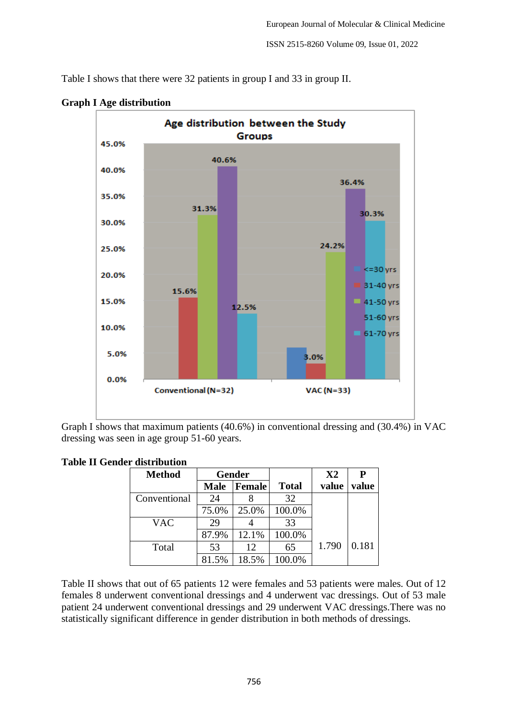Table I shows that there were 32 patients in group I and 33 in group II.



**Graph I Age distribution**

Graph I shows that maximum patients (40.6%) in conventional dressing and (30.4%) in VAC dressing was seen in age group 51-60 years.

|  |  | <b>Table II Gender distribution</b> |
|--|--|-------------------------------------|
|--|--|-------------------------------------|

| <b>Method</b> | <b>Gender</b> |        |              | X2    | P     |
|---------------|---------------|--------|--------------|-------|-------|
|               | <b>Male</b>   | Female | <b>Total</b> | value | value |
| Conventional  | 24            |        | 32           |       |       |
|               | 75.0%         | 25.0%  | 100.0%       |       |       |
| <b>VAC</b>    | 29            |        | 33           |       |       |
|               | 87.9%         | 12.1%  | 100.0%       |       |       |
| Total         | 53            | 12     | 65           | 1.790 | 0.181 |
|               | 81.5%         | 18.5%  | 100.0%       |       |       |

Table II shows that out of 65 patients 12 were females and 53 patients were males. Out of 12 females 8 underwent conventional dressings and 4 underwent vac dressings. Out of 53 male patient 24 underwent conventional dressings and 29 underwent VAC dressings.There was no statistically significant difference in gender distribution in both methods of dressings.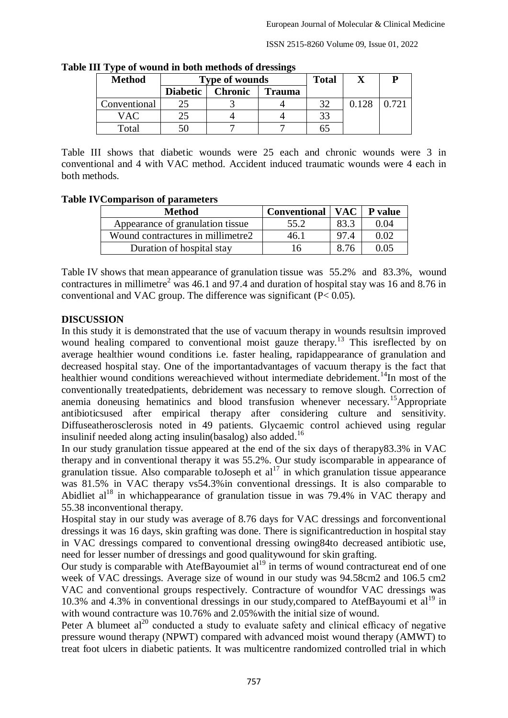ISSN 2515-8260 Volume 09, Issue 01, 2022

| <b>Method</b> |                 | <b>Type of wounds</b> |               |    |       |       |
|---------------|-----------------|-----------------------|---------------|----|-------|-------|
|               | <b>Diabetic</b> | <b>Chronic</b>        | <b>Trauma</b> |    |       |       |
| Conventional  |                 |                       |               | 32 | 0.128 | 0.721 |
| VAC           |                 |                       |               | 33 |       |       |
| Total         |                 |                       |               |    |       |       |

**Table III Type of wound in both methods of dressings**

Table III shows that diabetic wounds were 25 each and chronic wounds were 3 in conventional and 4 with VAC method. Accident induced traumatic wounds were 4 each in both methods.

#### **Table IVComparison of parameters**

| <b>Method</b>                     | Conventional   VAC   P value |      |      |
|-----------------------------------|------------------------------|------|------|
| Appearance of granulation tissue  | 55.2                         | 83.3 | 0.04 |
| Wound contractures in millimetre2 | 46.1                         | 974  | 0.O2 |
| Duration of hospital stay         | 16                           | 8.76 | 0.05 |

Table IV shows that mean appearance of granulation tissue was 55.2% and 83.3%, wound contractures in millimetre<sup>2</sup> was 46.1 and 97.4 and duration of hospital stay was 16 and 8.76 in conventional and VAC group. The difference was significant (P< 0.05).

## **DISCUSSION**

In this study it is demonstrated that the use of vacuum therapy in wounds resultsin improved wound healing compared to conventional moist gauze therapy.<sup>13</sup> This isreflected by on average healthier wound conditions i.e. faster healing, rapidappearance of granulation and decreased hospital stay. One of the importantadvantages of vacuum therapy is the fact that healthier wound conditions wereachieved without intermediate debridement.<sup>14</sup>In most of the conventionally treatedpatients, debridement was necessary to remove slough. Correction of anemia doneusing hematinics and blood transfusion whenever necessary.<sup>15</sup>Appropriate antibioticsused after empirical therapy after considering culture and sensitivity. Diffuseatherosclerosis noted in 49 patients. Glycaemic control achieved using regular insulinif needed along acting insulin(basalog) also added.<sup>16</sup>

In our study granulation tissue appeared at the end of the six days of therapy83.3% in VAC therapy and in conventional therapy it was 55.2%. Our study iscomparable in appearance of granulation tissue. Also comparable to Joseph et al<sup>17</sup> in which granulation tissue appearance was 81.5% in VAC therapy vs54.3%in conventional dressings. It is also comparable to Abidliet  $al^{18}$  in whichappearance of granulation tissue in was 79.4% in VAC therapy and 55.38 inconventional therapy.

Hospital stay in our study was average of 8.76 days for VAC dressings and forconventional dressings it was 16 days, skin grafting was done. There is significantreduction in hospital stay in VAC dressings compared to conventional dressing owing84to decreased antibiotic use, need for lesser number of dressings and good qualitywound for skin grafting.

Our study is comparable with AtefBayoumiet  $al<sup>19</sup>$  in terms of wound contractureat end of one week of VAC dressings. Average size of wound in our study was 94.58cm2 and 106.5 cm2 VAC and conventional groups respectively. Contracture of woundfor VAC dressings was 10.3% and 4.3% in conventional dressings in our study, compared to AtefBayoumi et  $al<sup>19</sup>$  in with wound contracture was 10.76% and 2.05% with the initial size of wound.

Peter A blumeet  $al^{20}$  conducted a study to evaluate safety and clinical efficacy of negative pressure wound therapy (NPWT) compared with advanced moist wound therapy (AMWT) to treat foot ulcers in diabetic patients. It was multicentre randomized controlled trial in which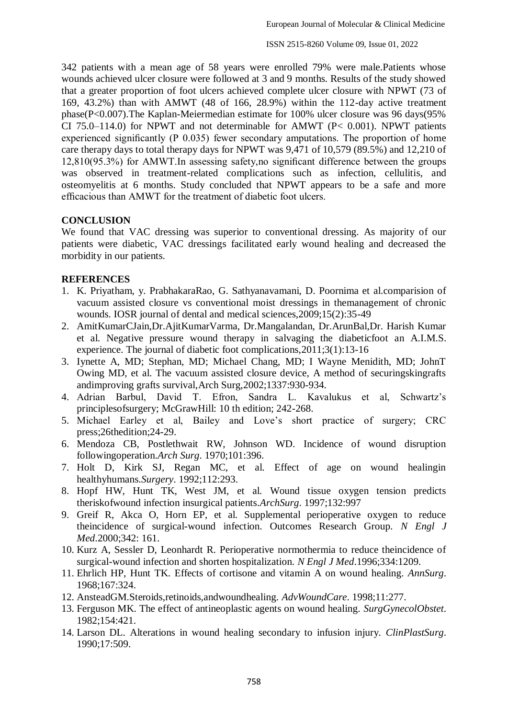342 patients with a mean age of 58 years were enrolled 79% were male.Patients whose wounds achieved ulcer closure were followed at 3 and 9 months. Results of the study showed that a greater proportion of foot ulcers achieved complete ulcer closure with NPWT (73 of 169, 43.2%) than with AMWT (48 of 166, 28.9%) within the 112-day active treatment phase(P<0.007).The Kaplan-Meiermedian estimate for 100% ulcer closure was 96 days(95% CI 75.0–114.0) for NPWT and not determinable for AMWT ( $P < 0.001$ ). NPWT patients experienced significantly (P 0.035) fewer secondary amputations. The proportion of home care therapy days to total therapy days for NPWT was 9,471 of 10,579 (89.5%) and 12,210 of 12,810(95.3%) for AMWT.In assessing safety,no significant difference between the groups was observed in treatment-related complications such as infection, cellulitis, and osteomyelitis at 6 months. Study concluded that NPWT appears to be a safe and more efficacious than AMWT for the treatment of diabetic foot ulcers.

## **CONCLUSION**

We found that VAC dressing was superior to conventional dressing. As majority of our patients were diabetic, VAC dressings facilitated early wound healing and decreased the morbidity in our patients.

#### **REFERENCES**

- 1. K. Priyatham, y. PrabhakaraRao, G. Sathyanavamani, D. Poornima et al.comparision of vacuum assisted closure vs conventional moist dressings in themanagement of chronic wounds. IOSR journal of dental and medical sciences,2009;15(2):35-49
- 2. AmitKumarCJain,Dr.AjitKumarVarma, Dr.Mangalandan, Dr.ArunBal,Dr. Harish Kumar et al. Negative pressure wound therapy in salvaging the diabeticfoot an A.I.M.S. experience. The journal of diabetic foot complications,2011;3(1):13-16
- 3. Iynette A, MD; Stephan, MD; Michael Chang, MD; I Wayne Menidith, MD; JohnT Owing MD, et al. The vacuum assisted closure device, A method of securingskingrafts andimproving grafts survival,Arch Surg,2002;1337:930-934.
- 4. Adrian Barbul, David T. Efron, Sandra L. Kavalukus et al, Schwartz's principlesofsurgery; McGrawHill: 10 th edition; 242-268.
- 5. Michael Earley et al, Bailey and Love's short practice of surgery; CRC press;26thedition;24-29.
- 6. Mendoza CB, Postlethwait RW, Johnson WD. Incidence of wound disruption followingoperation.*Arch Surg*. 1970;101:396.
- 7. Holt D, Kirk SJ, Regan MC, et al. Effect of age on wound healingin healthyhumans.*Surgery*. 1992;112:293.
- 8. Hopf HW, Hunt TK, West JM, et al. Wound tissue oxygen tension predicts theriskofwound infection insurgical patients.*ArchSurg*. 1997;132:997
- 9. Greif R, Akca O, Horn EP, et al. Supplemental perioperative oxygen to reduce theincidence of surgical-wound infection. Outcomes Research Group. *N Engl J Med*.2000;342: 161.
- 10. Kurz A, Sessler D, Leonhardt R. Perioperative normothermia to reduce theincidence of surgical-wound infection and shorten hospitalization. *N Engl J Med*.1996;334:1209.
- 11. Ehrlich HP, Hunt TK. Effects of cortisone and vitamin A on wound healing. *AnnSurg*. 1968;167:324.
- 12. AnsteadGM.Steroids,retinoids,andwoundhealing. *AdvWoundCare*. 1998;11:277.
- 13. Ferguson MK. The effect of antineoplastic agents on wound healing. *SurgGynecolObstet*. 1982;154:421.
- 14. Larson DL. Alterations in wound healing secondary to infusion injury. *ClinPlastSurg*. 1990;17:509.